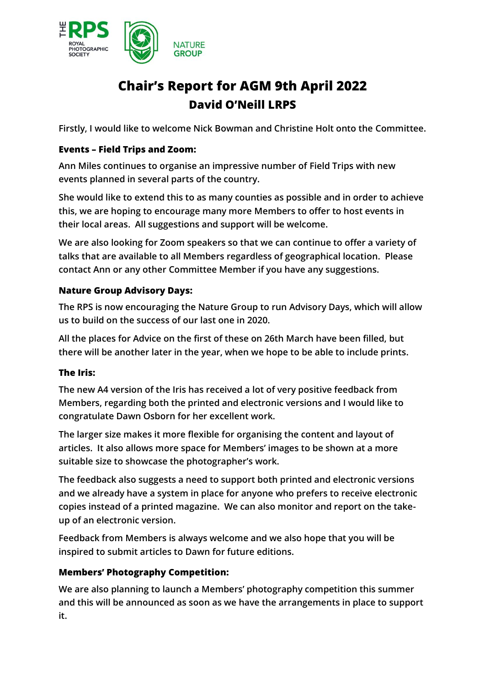

# **Chair's Report for AGM 9th April 2022 David O'Neill LRPS**

**Firstly, I would like to welcome Nick Bowman and Christine Holt onto the Committee.**

# **Events – Field Trips and Zoom:**

**Ann Miles continues to organise an impressive number of Field Trips with new events planned in several parts of the country.** 

**She would like to extend this to as many counties as possible and in order to achieve this, we are hoping to encourage many more Members to offer to host events in their local areas. All suggestions and support will be welcome.**

**We are also looking for Zoom speakers so that we can continue to offer a variety of talks that are available to all Members regardless of geographical location. Please contact Ann or any other Committee Member if you have any suggestions.**

### **Nature Group Advisory Days:**

**The RPS is now encouraging the Nature Group to run Advisory Days, which will allow us to build on the success of our last one in 2020.**

**All the places for Advice on the first of these on 26th March have been filled, but there will be another later in the year, when we hope to be able to include prints.**

### **The Iris:**

**The new A4 version of the Iris has received a lot of very positive feedback from Members, regarding both the printed and electronic versions and I would like to congratulate Dawn Osborn for her excellent work.**

**The larger size makes it more flexible for organising the content and layout of articles. It also allows more space for Members' images to be shown at a more suitable size to showcase the photographer's work.** 

**The feedback also suggests a need to support both printed and electronic versions and we already have a system in place for anyone who prefers to receive electronic copies instead of a printed magazine. We can also monitor and report on the takeup of an electronic version.**

**Feedback from Members is always welcome and we also hope that you will be inspired to submit articles to Dawn for future editions.**

### **Members' Photography Competition:**

**We are also planning to launch a Members' photography competition this summer and this will be announced as soon as we have the arrangements in place to support it.**